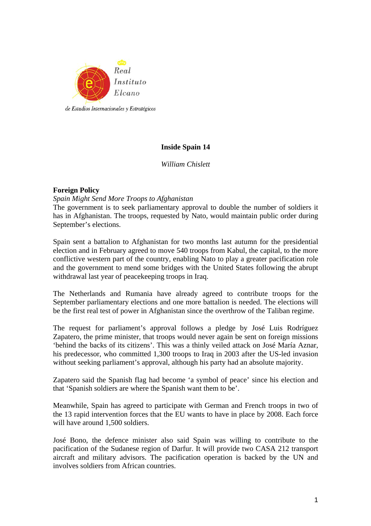

# **Inside Spain 14**

*William Chislett* 

## **Foreign Policy**

### *Spain Might Send More Troops to Afghanistan*

The government is to seek parliamentary approval to double the number of soldiers it has in Afghanistan. The troops, requested by Nato, would maintain public order during September's elections.

Spain sent a battalion to Afghanistan for two months last autumn for the presidential election and in February agreed to move 540 troops from Kabul, the capital, to the more conflictive western part of the country, enabling Nato to play a greater pacification role and the government to mend some bridges with the United States following the abrupt withdrawal last year of peacekeeping troops in Iraq.

The Netherlands and Rumania have already agreed to contribute troops for the September parliamentary elections and one more battalion is needed. The elections will be the first real test of power in Afghanistan since the overthrow of the Taliban regime.

The request for parliament's approval follows a pledge by José Luis Rodríguez Zapatero, the prime minister, that troops would never again be sent on foreign missions 'behind the backs of its citizens'. This was a thinly veiled attack on José María Aznar, his predecessor, who committed 1,300 troops to Iraq in 2003 after the US-led invasion without seeking parliament's approval, although his party had an absolute majority.

Zapatero said the Spanish flag had become 'a symbol of peace' since his election and that 'Spanish soldiers are where the Spanish want them to be'.

Meanwhile, Spain has agreed to participate with German and French troops in two of the 13 rapid intervention forces that the EU wants to have in place by 2008. Each force will have around 1,500 soldiers.

José Bono, the defence minister also said Spain was willing to contribute to the pacification of the Sudanese region of Darfur. It will provide two CASA 212 transport aircraft and military advisors. The pacification operation is backed by the UN and involves soldiers from African countries.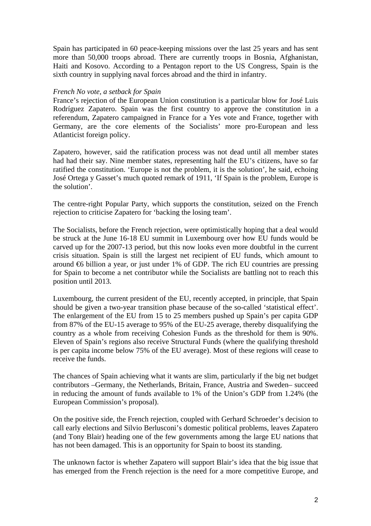Spain has participated in 60 peace-keeping missions over the last 25 years and has sent more than 50,000 troops abroad. There are currently troops in Bosnia, Afghanistan, Haiti and Kosovo. According to a Pentagon report to the US Congress, Spain is the sixth country in supplying naval forces abroad and the third in infantry.

#### *French No vote, a setback for Spain*

France's rejection of the European Union constitution is a particular blow for José Luis Rodríguez Zapatero. Spain was the first country to approve the constitution in a referendum, Zapatero campaigned in France for a Yes vote and France, together with Germany, are the core elements of the Socialists' more pro-European and less Atlanticist foreign policy.

Zapatero, however, said the ratification process was not dead until all member states had had their say. Nine member states, representing half the EU's citizens, have so far ratified the constitution. 'Europe is not the problem, it is the solution', he said, echoing José Ortega y Gasset's much quoted remark of 1911, 'If Spain is the problem, Europe is the solution'.

The centre-right Popular Party, which supports the constitution, seized on the French rejection to criticise Zapatero for 'backing the losing team'.

The Socialists, before the French rejection, were optimistically hoping that a deal would be struck at the June 16-18 EU summit in Luxembourg over how EU funds would be carved up for the 2007-13 period, but this now looks even more doubtful in the current crisis situation. Spain is still the largest net recipient of EU funds, which amount to around  $\bigoplus$  billion a year, or just under 1% of GDP. The rich EU countries are pressing for Spain to become a net contributor while the Socialists are battling not to reach this position until 2013.

Luxembourg, the current president of the EU, recently accepted, in principle, that Spain should be given a two-year transition phase because of the so-called 'statistical effect'. The enlargement of the EU from 15 to 25 members pushed up Spain's per capita GDP from 87% of the EU-15 average to 95% of the EU-25 average, thereby disqualifying the country as a whole from receiving Cohesion Funds as the threshold for them is 90%. Eleven of Spain's regions also receive Structural Funds (where the qualifying threshold is per capita income below 75% of the EU average). Most of these regions will cease to receive the funds.

The chances of Spain achieving what it wants are slim, particularly if the big net budget contributors –Germany, the Netherlands, Britain, France, Austria and Sweden– succeed in reducing the amount of funds available to 1% of the Union's GDP from 1.24% (the European Commission's proposal).

On the positive side, the French rejection, coupled with Gerhard Schroeder's decision to call early elections and Silvio Berlusconi's domestic political problems, leaves Zapatero (and Tony Blair) heading one of the few governments among the large EU nations that has not been damaged. This is an opportunity for Spain to boost its standing.

The unknown factor is whether Zapatero will support Blair's idea that the big issue that has emerged from the French rejection is the need for a more competitive Europe, and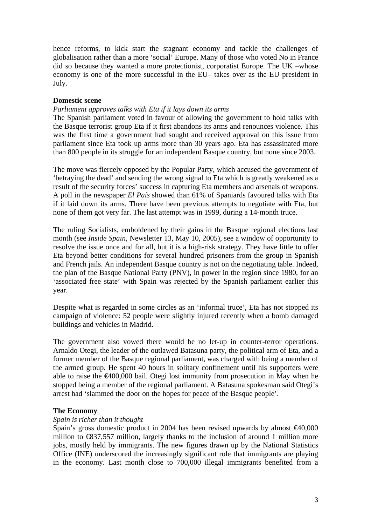hence reforms, to kick start the stagnant economy and tackle the challenges of globalisation rather than a more 'social' Europe. Many of those who voted No in France did so because they wanted a more protectionist, corporatist Europe. The UK –whose economy is one of the more successful in the EU– takes over as the EU president in July.

## **Domestic scene**

## *Parliament approves talks with Eta if it lays down its arms*

The Spanish parliament voted in favour of allowing the government to hold talks with the Basque terrorist group Eta if it first abandons its arms and renounces violence. This was the first time a government had sought and received approval on this issue from parliament since Eta took up arms more than 30 years ago. Eta has assassinated more than 800 people in its struggle for an independent Basque country, but none since 2003.

The move was fiercely opposed by the Popular Party, which accused the government of 'betraying the dead' and sending the wrong signal to Eta which is greatly weakened as a result of the security forces' success in capturing Eta members and arsenals of weapons. A poll in the newspaper *El País* showed than 61% of Spaniards favoured talks with Eta if it laid down its arms. There have been previous attempts to negotiate with Eta, but none of them got very far. The last attempt was in 1999, during a 14-month truce.

The ruling Socialists, emboldened by their gains in the Basque regional elections last month (see *Inside Spain*, Newsletter 13, May 10, 2005), see a window of opportunity to resolve the issue once and for all, but it is a high-risk strategy. They have little to offer Eta beyond better conditions for several hundred prisoners from the group in Spanish and French jails. An independent Basque country is not on the negotiating table. Indeed, the plan of the Basque National Party (PNV), in power in the region since 1980, for an 'associated free state' with Spain was rejected by the Spanish parliament earlier this year.

Despite what is regarded in some circles as an 'informal truce', Eta has not stopped its campaign of violence: 52 people were slightly injured recently when a bomb damaged buildings and vehicles in Madrid.

The government also vowed there would be no let-up in counter-terror operations. Arnaldo Otegi, the leader of the outlawed Batasuna party, the political arm of Eta, and a former member of the Basque regional parliament, was charged with being a member of the armed group. He spent 40 hours in solitary confinement until his supporters were able to raise the  $\epsilon 400,000$  bail. Otegi lost immunity from prosecution in May when he stopped being a member of the regional parliament. A Batasuna spokesman said Otegi's arrest had 'slammed the door on the hopes for peace of the Basque people'.

### **The Economy**

### *Spain is richer than it thought*

Spain's gross domestic product in 2004 has been revised upwards by almost  $\epsilon 40,000$ million to €837,557 million, largely thanks to the inclusion of around 1 million more jobs, mostly held by immigrants. The new figures drawn up by the National Statistics Office (INE) underscored the increasingly significant role that immigrants are playing in the economy. Last month close to 700,000 illegal immigrants benefited from a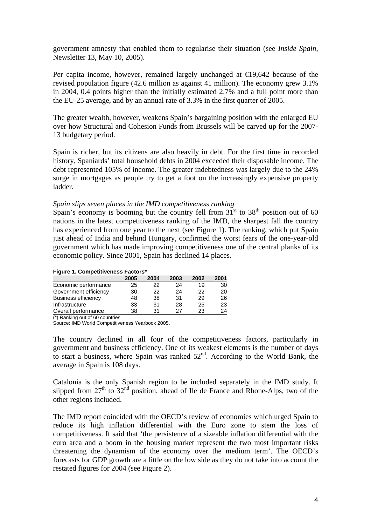government amnesty that enabled them to regularise their situation (see *Inside Spain*, Newsletter 13, May 10, 2005).

Per capita income, however, remained largely unchanged at  $\epsilon$ 19,642 because of the revised population figure (42.6 million as against 41 million). The economy grew 3.1% in 2004, 0.4 points higher than the initially estimated 2.7% and a full point more than the EU-25 average, and by an annual rate of 3.3% in the first quarter of 2005.

The greater wealth, however, weakens Spain's bargaining position with the enlarged EU over how Structural and Cohesion Funds from Brussels will be carved up for the 2007- 13 budgetary period.

Spain is richer, but its citizens are also heavily in debt. For the first time in recorded history, Spaniards' total household debts in 2004 exceeded their disposable income. The debt represented 105% of income. The greater indebtedness was largely due to the 24% surge in mortgages as people try to get a foot on the increasingly expensive property ladder.

#### *Spain slips seven places in the IMD competitiveness ranking*

Spain's economy is booming but the country fell from  $31<sup>st</sup>$  to  $38<sup>th</sup>$  position out of 60 nations in the latest competitiveness ranking of the IMD, the sharpest fall the country has experienced from one year to the next (see Figure 1). The ranking, which put Spain just ahead of India and behind Hungary, confirmed the worst fears of the one-year-old government which has made improving competitiveness one of the central planks of its economic policy. Since 2001, Spain has declined 14 places.

#### **Figure 1. Competitiveness Factors\***

|                            | 2005 | 2004 | 2003 | 2002 | 2001 |
|----------------------------|------|------|------|------|------|
| Economic performance       | 25   | 22   | 24   | 19   | 30   |
| Government efficiency      | 30   | 22   | 24   | 22   | 20   |
| <b>Business efficiency</b> | 48   | 38   | 31   | 29   | 26   |
| Infrastructure             | 33   | 31   | 28   | 25   | 23   |
| Overall performance        | 38   | 31   | 27   | 23   | 24   |
|                            |      |      |      |      |      |

(\*) Ranking out of 60 countries.

Source: IMD World Competitiveness Yearbook 2005.

The country declined in all four of the competitiveness factors, particularly in government and business efficiency. One of its weakest elements is the number of days to start a business, where Spain was ranked  $52<sup>nd</sup>$ . According to the World Bank, the average in Spain is 108 days.

Catalonia is the only Spanish region to be included separately in the IMD study. It slipped from  $27<sup>th</sup>$  to  $32<sup>nd</sup>$  position, ahead of Ile de France and Rhone-Alps, two of the other regions included.

The IMD report coincided with the OECD's review of economies which urged Spain to reduce its high inflation differential with the Euro zone to stem the loss of competitiveness. It said that 'the persistence of a sizeable inflation differential with the euro area and a boom in the housing market represent the two most important risks threatening the dynamism of the economy over the medium term'. The OECD's forecasts for GDP growth are a little on the low side as they do not take into account the restated figures for 2004 (see Figure 2).